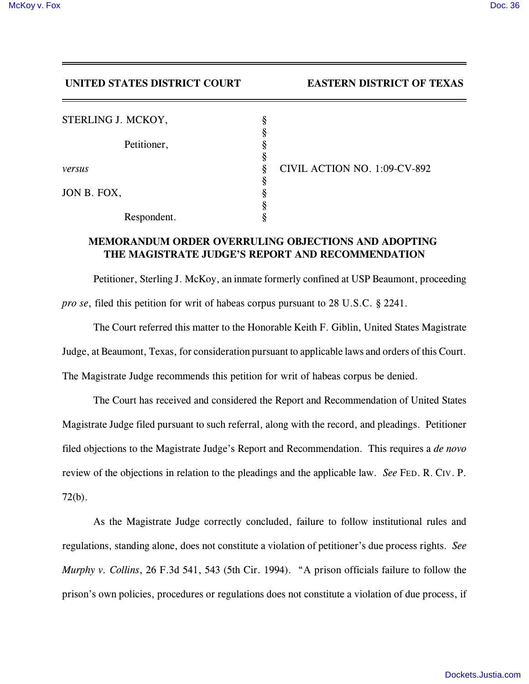## **UNITED STATES DISTRICT COURT EASTERN DISTRICT OF TEXAS**

| STERLING J. MCKOY, |             |   |                              |
|--------------------|-------------|---|------------------------------|
|                    |             |   |                              |
|                    | Petitioner, |   |                              |
|                    |             |   |                              |
| versus             |             | 8 | CIVIL ACTION NO. 1:09-CV-892 |
|                    |             |   |                              |
| JON B. FOX,        |             |   |                              |
|                    |             |   |                              |
|                    | Respondent. |   |                              |

## **MEMORANDUM ORDER OVERRULING OBJECTIONS AND ADOPTING THE MAGISTRATE JUDGE'S REPORT AND RECOMMENDATION**

Petitioner, Sterling J. McKoy, an inmate formerly confined at USP Beaumont, proceeding *pro se*, filed this petition for writ of habeas corpus pursuant to 28 U.S.C. § 2241.

The Court referred this matter to the Honorable Keith F. Giblin, United States Magistrate Judge, at Beaumont, Texas, for consideration pursuant to applicable laws and orders of this Court.

The Magistrate Judge recommends this petition for writ of habeas corpus be denied.

The Court has received and considered the Report and Recommendation of United States Magistrate Judge filed pursuant to such referral, along with the record, and pleadings. Petitioner filed objections to the Magistrate Judge's Report and Recommendation. This requires a *de novo* review of the objections in relation to the pleadings and the applicable law. *See* FED. R. CIV. P. 72(b).

As the Magistrate Judge correctly concluded, failure to follow institutional rules and regulations, standing alone, does not constitute a violation of petitioner's due process rights. *See Murphy v. Collins*, 26 F.3d 541, 543 (5th Cir. 1994). "A prison officials failure to follow the prison's own policies, procedures or regulations does not constitute a violation of due process, if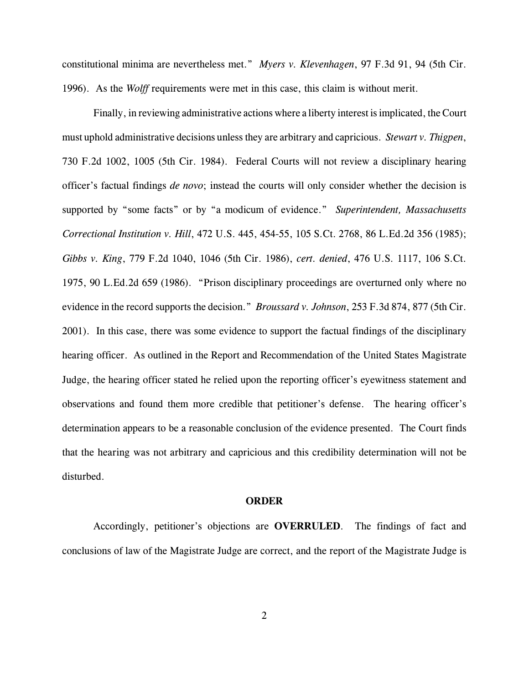constitutional minima are nevertheless met." *Myers v. Klevenhagen*, 97 F.3d 91, 94 (5th Cir. 1996). As the *Wolff* requirements were met in this case, this claim is without merit.

Finally, in reviewing administrative actions where a liberty interest is implicated, the Court must uphold administrative decisions unless they are arbitrary and capricious. *Stewart v. Thigpen*, 730 F.2d 1002, 1005 (5th Cir. 1984). Federal Courts will not review a disciplinary hearing officer's factual findings *de novo*; instead the courts will only consider whether the decision is supported by "some facts" or by "a modicum of evidence." *Superintendent, Massachusetts Correctional Institution v. Hill*, 472 U.S. 445, 454-55, 105 S.Ct. 2768, 86 L.Ed.2d 356 (1985); *Gibbs v. King*, 779 F.2d 1040, 1046 (5th Cir. 1986), *cert. denied*, 476 U.S. 1117, 106 S.Ct. 1975, 90 L.Ed.2d 659 (1986). "Prison disciplinary proceedings are overturned only where no evidence in the record supports the decision." *Broussard v. Johnson*, 253 F.3d 874, 877 (5th Cir. 2001). In this case, there was some evidence to support the factual findings of the disciplinary hearing officer. As outlined in the Report and Recommendation of the United States Magistrate Judge, the hearing officer stated he relied upon the reporting officer's eyewitness statement and observations and found them more credible that petitioner's defense. The hearing officer's determination appears to be a reasonable conclusion of the evidence presented. The Court finds that the hearing was not arbitrary and capricious and this credibility determination will not be disturbed.

## **ORDER**

Accordingly, petitioner's objections are **OVERRULED**. The findings of fact and conclusions of law of the Magistrate Judge are correct, and the report of the Magistrate Judge is